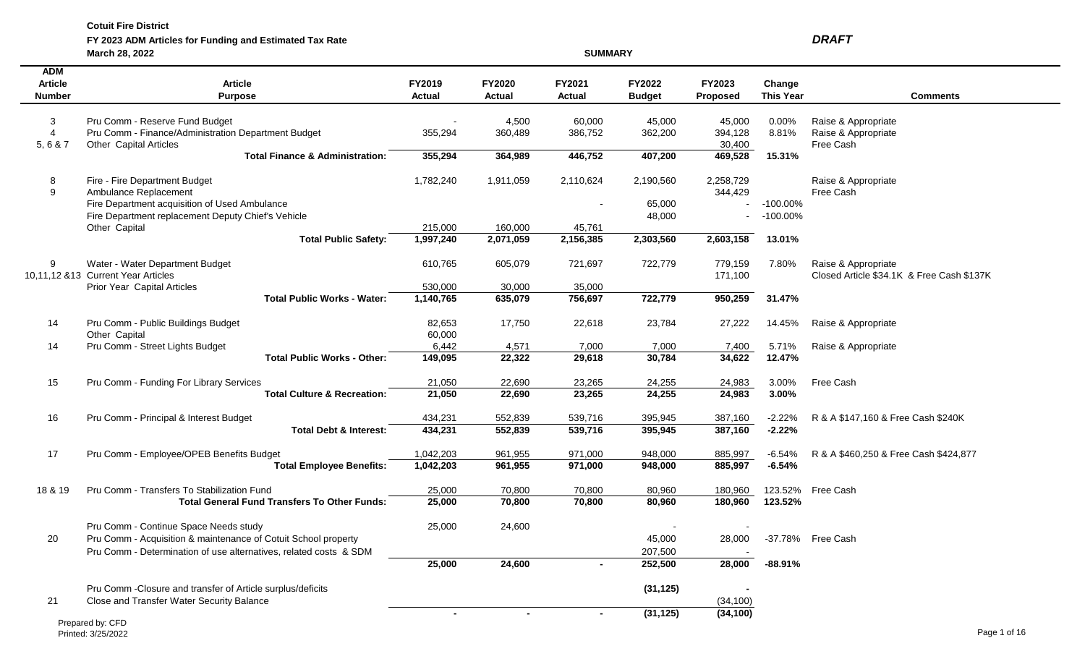**FY 2023 ADM Articles for Funding and Estimated Tax Rate** *DRAFT*

**March 28, 2022 SUMMARY ADM Article Article FY2019 FY2020 FY2021 FY2022 FY2023 Change Number Purpose Actual Actual Actual Budget Proposed This Year Comments** 3 Pru Comm - Reserve Fund Budget Communication Communication Communication Communication Communication Communication Communication Communication Communication Communication Communication Communication Communication Communi 4 Pru Comm - Finance/Administration Department Budget 355,294 360,489 386,752 362,200 394,128 8.81% Raise & Appropriate 5, 6 & 7 Other Capital Articles Free Cash Structure and the Cash Structure and Structure and Structure and Structure and Structure and Structure and Structure and Structure and Structure and Structure and Structure and Str **Total Finance & Administration: 355,294 364,989 446,752 407,200 469,528 15.31%** 8 Fire - Fire Department Budget 2,1782,240 1,782,240 1,911,059 2,110,624 2,190,560 2,258,729 Raise & Appropriate 9 Ambulance Replacement 344,429 Free Cash Fire Department acquisition of Used Ambulance  $\sim$  100.00% Fire Department replacement Deputy Chief's Vehicle  $48,000$  -  $100.00\%$ Other Capital 215,000 160,000 45,761 **Total Public Safety: 1,997,240 2,071,059 2,156,385 2,303,560 2,603,158 13.01%** 9 Water - Water Department Budget 610,765 605,079 721,697 722,779 779,159 7.80% Raise & Appropriate 10,11,12 &13 Current Year Articles 171,100 Closed Article \$34.1K & Free Cash \$137K Prior Year Capital Articles 630,000 530,000 35,000 35,000 **Total Public Works - Water: 1,140,765 635,079 756,697 722,779 950,259 31.47%** 14 Pru Comm - Public Buildings Budget 82,653 17,750 22,618 23,784 27,222 14.45% Raise & Appropriate Other Capital 60,000 Chern Capital 60,000 Chern Capital 60,000 Chern Capital 60,000 Chern Capital 60,000 Chern Capital 60,000 Chern Capital 60,000 Chern Capital 60,000 Chern Capital 60,000 Chern Capital 60,000 Chern Capita 14 Pru Comm - Street Lights Budget 6,442 4,571 7,000 7,000 7,400 5.71% Raise & Appropriate **Total Public Works - Other: 149,095 22,322 29,618 30,784 34,622 12.47%** 15 Pru Comm - Funding For Library Services 21,050 22,690 23,265 24,255 24,983 3.00% Free Cash **Total Culture & Recreation: 21,050 22,690 23,265 24,255 24,983 3.00%** 16 Pru Comm - Principal & Interest Budget 434,231 552,839 539,716 395,945 387,160 -2.22% R & A \$147,160 & Free Cash \$240K **Total Debt & Interest: 434,231 552,839 539,716 395,945 387,160 -2.22%** 17 Pru Comm - Employee/OPEB Benefits Budget 1,042,203 961,955 971,000 948,000 885,997 -6.54% R & A \$460,250 & Free Cash \$424,877 **Total Employee Benefits: 1,042,203 961,955 971,000 948,000 885,997 -6.54%** 18 & 19 Pru Comm - Transfers To Stabilization Fund 25,000 70,800 70,800 80,960 180,960 123.52% Free Cash **Total General Fund Transfers To Other Funds: 25,000 70,800 70,800 80,960 180,960 123.52%** Pru Comm - Continue Space Needs study 25,000 24,600 20 Pru Comm - Acquisition & maintenance of Cotuit School property 45,000 28,000 -37.78% Free Cash Pru Comm - Determination of use alternatives, related costs & SDM 207,500 - 207,500 - 207,500  **25,000 24,600 - 252,500 28,000 -88.91%** Pru Comm -Closure and transfer of Article surplus/deficits **(31,125) -** 21 Close and Transfer Water Security Balance (34,100)  **- - - (31,125) (34,100)**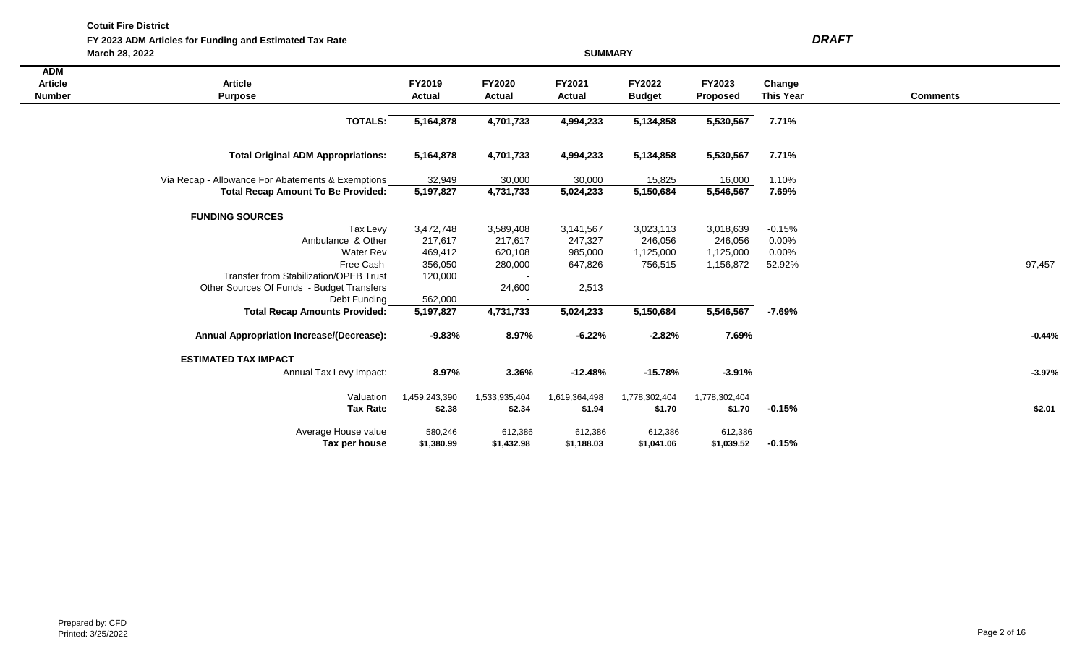**FY 2023 ADM Articles for Funding and Estimated Tax Rate** *DRAFT*

|                                               | March 28, 2022                                    |                         |                         | <b>SUMMARY</b>          |                         |                           |                            |                 |          |
|-----------------------------------------------|---------------------------------------------------|-------------------------|-------------------------|-------------------------|-------------------------|---------------------------|----------------------------|-----------------|----------|
| <b>ADM</b><br><b>Article</b><br><b>Number</b> | <b>Article</b><br><b>Purpose</b>                  | FY2019<br><b>Actual</b> | FY2020<br><b>Actual</b> | FY2021<br><b>Actual</b> | FY2022<br><b>Budget</b> | FY2023<br><b>Proposed</b> | Change<br><b>This Year</b> | <b>Comments</b> |          |
|                                               | TOTALS:                                           | 5,164,878               | 4,701,733               | 4,994,233               | 5,134,858               | 5,530,567                 | 7.71%                      |                 |          |
|                                               | <b>Total Original ADM Appropriations:</b>         | 5,164,878               | 4,701,733               | 4,994,233               | 5,134,858               | 5,530,567                 | 7.71%                      |                 |          |
|                                               | Via Recap - Allowance For Abatements & Exemptions | 32,949                  | 30,000                  | 30,000                  | 15,825                  | 16,000                    | 1.10%                      |                 |          |
|                                               | <b>Total Recap Amount To Be Provided:</b>         | 5,197,827               | 4,731,733               | 5,024,233               | 5,150,684               | 5,546,567                 | 7.69%                      |                 |          |
|                                               | <b>FUNDING SOURCES</b>                            |                         |                         |                         |                         |                           |                            |                 |          |
|                                               | Tax Levy                                          | 3,472,748               | 3,589,408               | 3,141,567               | 3,023,113               | 3,018,639                 | $-0.15%$                   |                 |          |
|                                               | Ambulance & Other                                 | 217,617                 | 217,617                 | 247,327                 | 246,056                 | 246,056                   | 0.00%                      |                 |          |
|                                               | <b>Water Rev</b>                                  | 469,412                 | 620,108                 | 985,000                 | 1,125,000               | 1,125,000                 | 0.00%                      |                 |          |
|                                               | Free Cash                                         | 356,050                 | 280,000                 | 647,826                 | 756,515                 | 1,156,872                 | 52.92%                     |                 | 97,457   |
|                                               | <b>Transfer from Stabilization/OPEB Trust</b>     | 120,000                 |                         |                         |                         |                           |                            |                 |          |
|                                               | Other Sources Of Funds - Budget Transfers         |                         | 24,600                  | 2,513                   |                         |                           |                            |                 |          |
|                                               | Debt Funding                                      | 562,000                 |                         |                         |                         |                           |                            |                 |          |
|                                               | <b>Total Recap Amounts Provided:</b>              | 5,197,827               | 4,731,733               | 5,024,233               | 5,150,684               | 5,546,567                 | $-7.69%$                   |                 |          |
|                                               | <b>Annual Appropriation Increase/(Decrease):</b>  | $-9.83%$                | 8.97%                   | $-6.22%$                | $-2.82%$                | 7.69%                     |                            |                 | $-0.44%$ |
|                                               | <b>ESTIMATED TAX IMPACT</b>                       |                         |                         |                         |                         |                           |                            |                 |          |
|                                               | Annual Tax Levy Impact:                           | 8.97%                   | 3.36%                   | $-12.48%$               | $-15.78%$               | $-3.91%$                  |                            |                 | $-3.97%$ |
|                                               | Valuation                                         | 1,459,243,390           | 1,533,935,404           | 1,619,364,498           | 1,778,302,404           | 1,778,302,404             |                            |                 |          |
|                                               | <b>Tax Rate</b>                                   | \$2.38                  | \$2.34                  | \$1.94                  | \$1.70                  | \$1.70                    | $-0.15%$                   |                 | \$2.01   |
|                                               | Average House value                               | 580,246                 | 612,386                 | 612,386                 | 612,386                 | 612,386                   |                            |                 |          |
|                                               | Tax per house                                     | \$1,380.99              | \$1,432.98              | \$1,188.03              | \$1,041.06              | \$1,039.52                | $-0.15%$                   |                 |          |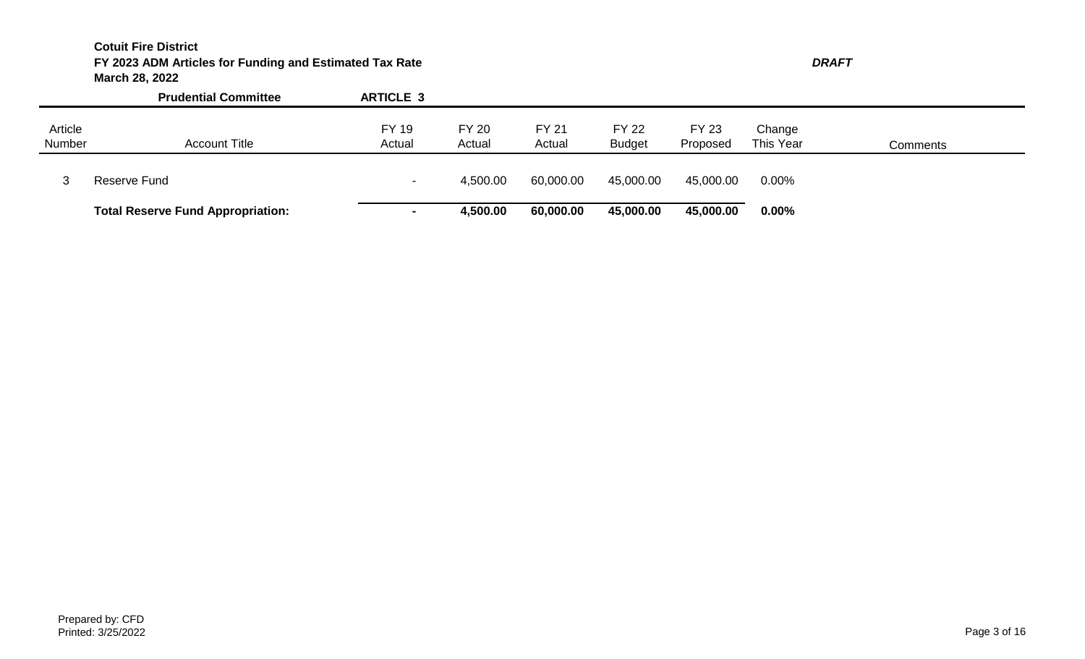# **Cotuit Fire District FY 2023 ADM Articles for Funding and Estimated Tax Rate** *DRAFT* **March 28, 2022**

|                   | <b>Prudential Committee</b>              | <b>ARTICLE 3</b>         |                        |                        |                               |                          |                     |          |
|-------------------|------------------------------------------|--------------------------|------------------------|------------------------|-------------------------------|--------------------------|---------------------|----------|
| Article<br>Number | <b>Account Title</b>                     | <b>FY 19</b><br>Actual   | <b>FY 20</b><br>Actual | <b>FY 21</b><br>Actual | <b>FY 22</b><br><b>Budget</b> | <b>FY 23</b><br>Proposed | Change<br>This Year | Comments |
|                   | Reserve Fund                             | $\overline{\phantom{0}}$ | 4,500.00               | 60,000.00              | 45,000.00                     | 45,000.00                | $0.00\%$            |          |
|                   | <b>Total Reserve Fund Appropriation:</b> | $\blacksquare$           | 4,500.00               | 60,000.00              | 45,000.00                     | 45,000.00                | 0.00%               |          |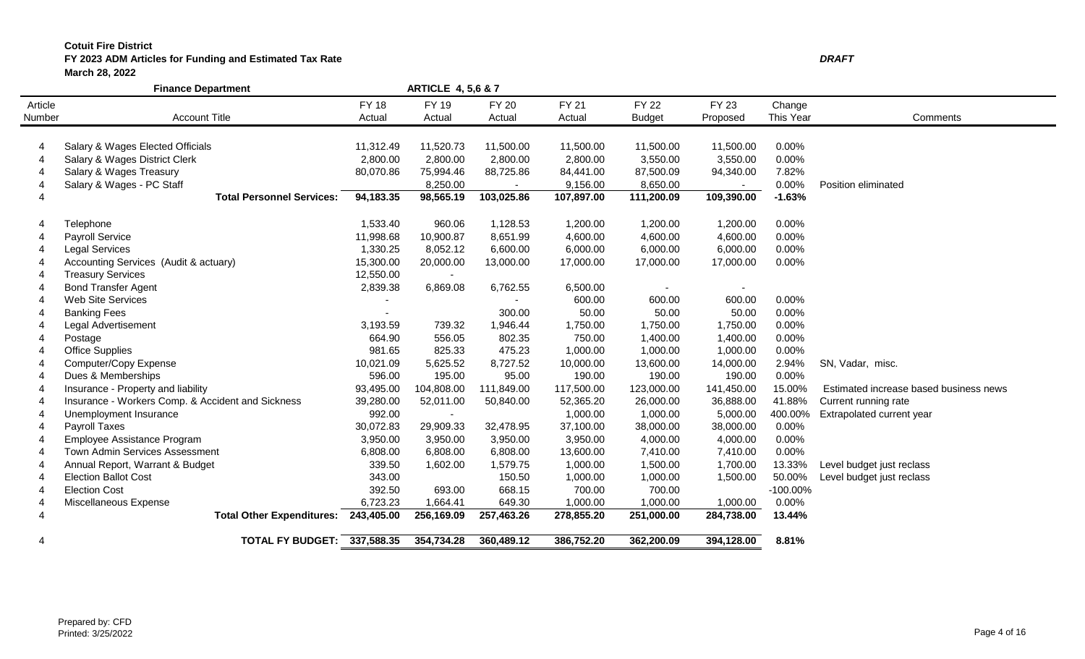## **FY 2023 ADM Articles for Funding and Estimated Tax Rate** *DRAFT* **March 28, 2022**

|         | <b>Finance Department</b>                         |              | <b>ARTICLE 4, 5,6 &amp; 7</b> |              |              |               |                |             |                                        |
|---------|---------------------------------------------------|--------------|-------------------------------|--------------|--------------|---------------|----------------|-------------|----------------------------------------|
| Article |                                                   | <b>FY 18</b> | FY 19                         | <b>FY 20</b> | <b>FY 21</b> | <b>FY 22</b>  | FY 23          | Change      |                                        |
| Number  | <b>Account Title</b>                              | Actual       | Actual                        | Actual       | Actual       | <b>Budget</b> | Proposed       | This Year   | Comments                               |
|         |                                                   |              |                               |              |              |               |                |             |                                        |
|         | Salary & Wages Elected Officials                  | 11,312.49    | 11,520.73                     | 11,500.00    | 11,500.00    | 11,500.00     | 11,500.00      | 0.00%       |                                        |
|         | Salary & Wages District Clerk                     | 2,800.00     | 2,800.00                      | 2,800.00     | 2,800.00     | 3,550.00      | 3,550.00       | 0.00%       |                                        |
|         | Salary & Wages Treasury                           | 80,070.86    | 75,994.46                     | 88,725.86    | 84,441.00    | 87,500.09     | 94,340.00      | 7.82%       |                                        |
|         | Salary & Wages - PC Staff                         |              | 8,250.00                      |              | 9,156.00     | 8,650.00      |                | 0.00%       | Position eliminated                    |
|         | <b>Total Personnel Services:</b>                  | 94,183.35    | 98,565.19                     | 103,025.86   | 107,897.00   | 111,200.09    | 109,390.00     | $-1.63%$    |                                        |
|         | Telephone                                         | 1,533.40     | 960.06                        | 1,128.53     | 1,200.00     | 1,200.00      | 1,200.00       | 0.00%       |                                        |
|         | <b>Payroll Service</b>                            | 11,998.68    | 10,900.87                     | 8,651.99     | 4,600.00     | 4,600.00      | 4,600.00       | 0.00%       |                                        |
|         | <b>Legal Services</b>                             | 1,330.25     | 8,052.12                      | 6,600.00     | 6,000.00     | 6,000.00      | 6,000.00       | 0.00%       |                                        |
|         | Accounting Services (Audit & actuary)             | 15,300.00    | 20,000.00                     | 13,000.00    | 17,000.00    | 17,000.00     | 17,000.00      | 0.00%       |                                        |
|         | <b>Treasury Services</b>                          | 12,550.00    |                               |              |              |               |                |             |                                        |
|         | <b>Bond Transfer Agent</b>                        | 2,839.38     | 6,869.08                      | 6,762.55     | 6,500.00     |               | $\blacksquare$ |             |                                        |
|         | Web Site Services                                 |              |                               |              | 600.00       | 600.00        | 600.00         | 0.00%       |                                        |
|         | <b>Banking Fees</b>                               |              |                               | 300.00       | 50.00        | 50.00         | 50.00          | 0.00%       |                                        |
|         | Legal Advertisement                               | 3,193.59     | 739.32                        | 1,946.44     | 1,750.00     | 1,750.00      | 1,750.00       | 0.00%       |                                        |
|         | Postage                                           | 664.90       | 556.05                        | 802.35       | 750.00       | 1,400.00      | 1,400.00       | 0.00%       |                                        |
|         | <b>Office Supplies</b>                            | 981.65       | 825.33                        | 475.23       | 1,000.00     | 1,000.00      | 1,000.00       | 0.00%       |                                        |
|         | Computer/Copy Expense                             | 10,021.09    | 5,625.52                      | 8,727.52     | 10,000.00    | 13,600.00     | 14,000.00      | 2.94%       | SN, Vadar, misc.                       |
|         | Dues & Memberships                                | 596.00       | 195.00                        | 95.00        | 190.00       | 190.00        | 190.00         | 0.00%       |                                        |
|         | Insurance - Property and liability                | 93,495.00    | 104,808.00                    | 111,849.00   | 117,500.00   | 123,000.00    | 141,450.00     | 15.00%      | Estimated increase based business news |
|         | Insurance - Workers Comp. & Accident and Sickness | 39,280.00    | 52,011.00                     | 50,840.00    | 52,365.20    | 26,000.00     | 36,888.00      | 41.88%      | Current running rate                   |
|         | Unemployment Insurance                            | 992.00       | $\sim$                        |              | 1,000.00     | 1,000.00      | 5,000.00       | 400.00%     | Extrapolated current year              |
|         | Payroll Taxes                                     | 30,072.83    | 29,909.33                     | 32,478.95    | 37,100.00    | 38,000.00     | 38,000.00      | 0.00%       |                                        |
|         | Employee Assistance Program                       | 3,950.00     | 3,950.00                      | 3,950.00     | 3,950.00     | 4,000.00      | 4,000.00       | 0.00%       |                                        |
|         | Town Admin Services Assessment                    | 6,808.00     | 6,808.00                      | 6,808.00     | 13,600.00    | 7,410.00      | 7,410.00       | 0.00%       |                                        |
|         | Annual Report, Warrant & Budget                   | 339.50       | 1,602.00                      | 1,579.75     | 1,000.00     | 1,500.00      | 1,700.00       | 13.33%      | Level budget just reclass              |
|         | <b>Election Ballot Cost</b>                       | 343.00       |                               | 150.50       | 1,000.00     | 1,000.00      | 1,500.00       | 50.00%      | Level budget just reclass              |
|         | <b>Election Cost</b>                              | 392.50       | 693.00                        | 668.15       | 700.00       | 700.00        |                | $-100.00\%$ |                                        |
|         | Miscellaneous Expense                             | 6,723.23     | 1,664.41                      | 649.30       | 1,000.00     | 1,000.00      | 1,000.00       | 0.00%       |                                        |
|         | Total Other Expenditures: 243,405.00              |              | 256,169.09                    | 257,463.26   | 278,855.20   | 251,000.00    | 284,738.00     | 13.44%      |                                        |
| 4       | <b>TOTAL FY BUDGET: 337,588.35</b>                |              | 354,734.28                    | 360,489.12   | 386,752.20   | 362,200.09    | 394,128.00     | 8.81%       |                                        |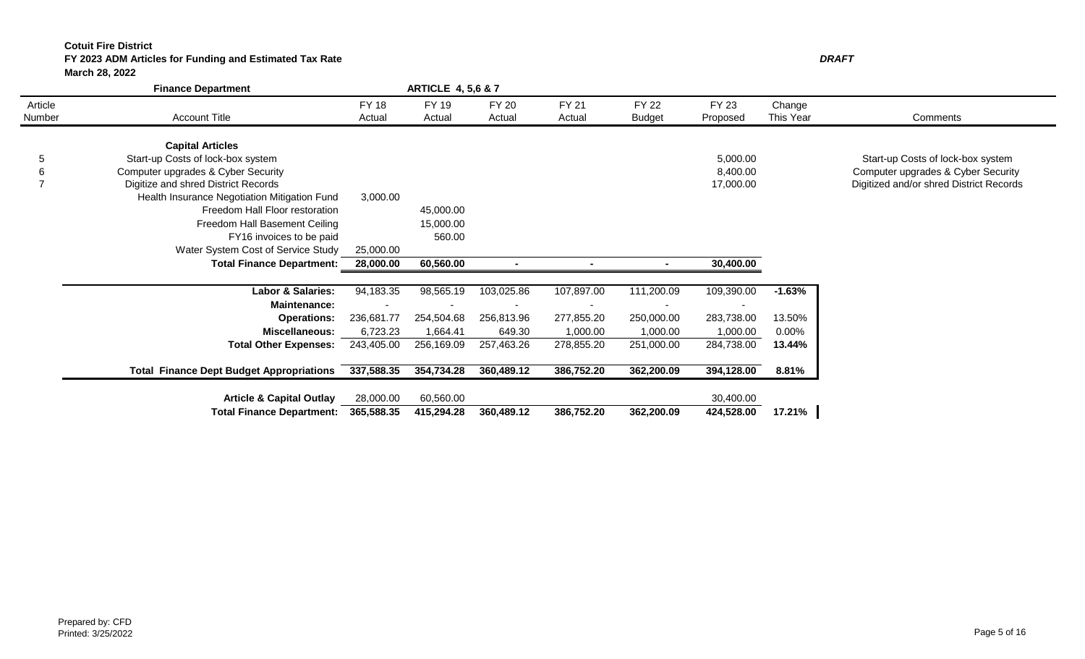# **FY 2023 ADM Articles for Funding and Estimated Tax Rate**

**March 28, 2022**

| DRAFT |
|-------|
|       |
|       |
|       |

|                | <b>Finance Department</b>                       |              | <b>ARTICLE 4, 5,6 &amp; 7</b> |              |              |               |              |           |                                         |
|----------------|-------------------------------------------------|--------------|-------------------------------|--------------|--------------|---------------|--------------|-----------|-----------------------------------------|
| Article        |                                                 | <b>FY 18</b> | FY 19                         | <b>FY 20</b> | <b>FY 21</b> | <b>FY 22</b>  | <b>FY 23</b> | Change    |                                         |
| Number         | <b>Account Title</b>                            | Actual       | Actual                        | Actual       | Actual       | <b>Budget</b> | Proposed     | This Year | Comments                                |
|                | <b>Capital Articles</b>                         |              |                               |              |              |               |              |           |                                         |
| 5              | Start-up Costs of lock-box system               |              |                               |              |              |               | 5,000.00     |           | Start-up Costs of lock-box system       |
| 6              | Computer upgrades & Cyber Security              |              |                               |              |              |               | 8,400.00     |           | Computer upgrades & Cyber Security      |
| $\overline{ }$ | Digitize and shred District Records             |              |                               |              |              |               | 17,000.00    |           |                                         |
|                | Health Insurance Negotiation Mitigation Fund    | 3,000.00     |                               |              |              |               |              |           | Digitized and/or shred District Records |
|                |                                                 |              |                               |              |              |               |              |           |                                         |
|                | Freedom Hall Floor restoration                  |              | 45,000.00                     |              |              |               |              |           |                                         |
|                | Freedom Hall Basement Ceiling                   |              | 15,000.00                     |              |              |               |              |           |                                         |
|                | FY16 invoices to be paid                        |              | 560.00                        |              |              |               |              |           |                                         |
|                | Water System Cost of Service Study              | 25,000.00    |                               |              |              |               |              |           |                                         |
|                | <b>Total Finance Department:</b>                | 28,000.00    | 60,560.00                     |              |              |               | 30,400.00    |           |                                         |
|                |                                                 |              |                               |              |              |               |              |           |                                         |
|                | Labor & Salaries:                               | 94,183.35    | 98,565.19                     | 103,025.86   | 107,897.00   | 111,200.09    | 109,390.00   | $-1.63%$  |                                         |
|                | <b>Maintenance:</b>                             |              |                               |              |              |               |              |           |                                         |
|                | <b>Operations:</b>                              | 236,681.77   | 254,504.68                    | 256,813.96   | 277,855.20   | 250,000.00    | 283,738.00   | 13.50%    |                                         |
|                | <b>Miscellaneous:</b>                           | 6,723.23     | 1,664.41                      | 649.30       | 1,000.00     | 1,000.00      | 1,000.00     | 0.00%     |                                         |
|                | <b>Total Other Expenses:</b>                    | 243,405.00   | 256,169.09                    | 257,463.26   | 278,855.20   | 251,000.00    | 284,738.00   | 13.44%    |                                         |
|                |                                                 |              |                               |              |              |               |              |           |                                         |
|                | <b>Total Finance Dept Budget Appropriations</b> | 337,588.35   | 354,734.28                    | 360,489.12   | 386,752.20   | 362,200.09    | 394,128.00   | 8.81%     |                                         |
|                |                                                 |              |                               |              |              |               |              |           |                                         |
|                | <b>Article &amp; Capital Outlay</b>             | 28,000.00    | 60,560.00                     |              |              |               | 30,400.00    |           |                                         |
|                | <b>Total Finance Department:</b>                | 365,588.35   | 415,294.28                    | 360,489.12   | 386,752.20   | 362,200.09    | 424,528.00   | 17.21%    |                                         |
|                |                                                 |              |                               |              |              |               |              |           |                                         |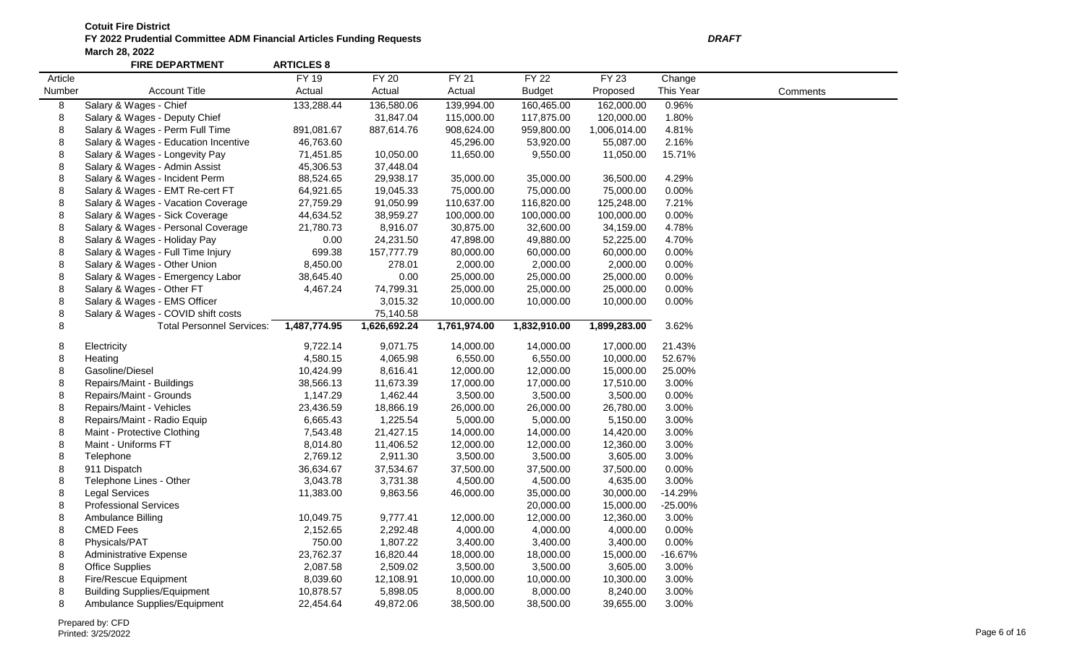|         | <b>FIRE DEPARTMENT</b>               | <b>ARTICLES 8</b> |              |              |               |              |           |          |
|---------|--------------------------------------|-------------------|--------------|--------------|---------------|--------------|-----------|----------|
| Article |                                      | <b>FY 19</b>      | <b>FY 20</b> | <b>FY 21</b> | <b>FY 22</b>  | <b>FY 23</b> | Change    |          |
| Number  | <b>Account Title</b>                 | Actual            | Actual       | Actual       | <b>Budget</b> | Proposed     | This Year | Comments |
| 8       | Salary & Wages - Chief               | 133,288.44        | 136,580.06   | 139,994.00   | 160,465.00    | 162,000.00   | 0.96%     |          |
| 8       | Salary & Wages - Deputy Chief        |                   | 31,847.04    | 115,000.00   | 117,875.00    | 120,000.00   | 1.80%     |          |
| 8       | Salary & Wages - Perm Full Time      | 891,081.67        | 887,614.76   | 908,624.00   | 959,800.00    | 1,006,014.00 | 4.81%     |          |
| 8       | Salary & Wages - Education Incentive | 46,763.60         |              | 45,296.00    | 53,920.00     | 55,087.00    | 2.16%     |          |
| 8       | Salary & Wages - Longevity Pay       | 71,451.85         | 10,050.00    | 11,650.00    | 9,550.00      | 11,050.00    | 15.71%    |          |
| 8       | Salary & Wages - Admin Assist        | 45,306.53         | 37,448.04    |              |               |              |           |          |
| 8       | Salary & Wages - Incident Perm       | 88,524.65         | 29,938.17    | 35,000.00    | 35,000.00     | 36,500.00    | 4.29%     |          |
| 8       | Salary & Wages - EMT Re-cert FT      | 64,921.65         | 19,045.33    | 75,000.00    | 75,000.00     | 75,000.00    | 0.00%     |          |
| 8       | Salary & Wages - Vacation Coverage   | 27,759.29         | 91,050.99    | 110,637.00   | 116,820.00    | 125,248.00   | 7.21%     |          |
| 8       | Salary & Wages - Sick Coverage       | 44,634.52         | 38,959.27    | 100,000.00   | 100,000.00    | 100,000.00   | 0.00%     |          |
| 8       | Salary & Wages - Personal Coverage   | 21,780.73         | 8,916.07     | 30,875.00    | 32,600.00     | 34,159.00    | 4.78%     |          |
| 8       | Salary & Wages - Holiday Pay         | 0.00              | 24,231.50    | 47,898.00    | 49,880.00     | 52,225.00    | 4.70%     |          |
| 8       | Salary & Wages - Full Time Injury    | 699.38            | 157,777.79   | 80,000.00    | 60,000.00     | 60,000.00    | 0.00%     |          |
| 8       | Salary & Wages - Other Union         | 8,450.00          | 278.01       | 2,000.00     | 2,000.00      | 2,000.00     | 0.00%     |          |
| 8       | Salary & Wages - Emergency Labor     | 38,645.40         | 0.00         | 25,000.00    | 25,000.00     | 25,000.00    | 0.00%     |          |
| 8       | Salary & Wages - Other FT            | 4,467.24          | 74,799.31    | 25,000.00    | 25,000.00     | 25,000.00    | 0.00%     |          |
| 8       | Salary & Wages - EMS Officer         |                   | 3,015.32     | 10,000.00    | 10,000.00     | 10,000.00    | 0.00%     |          |
| 8       | Salary & Wages - COVID shift costs   |                   | 75,140.58    |              |               |              |           |          |
| 8       | <b>Total Personnel Services:</b>     | 1,487,774.95      | 1,626,692.24 | 1,761,974.00 | 1,832,910.00  | 1,899,283.00 | 3.62%     |          |
| 8       | Electricity                          | 9,722.14          | 9,071.75     | 14,000.00    | 14,000.00     | 17,000.00    | 21.43%    |          |
| 8       | Heating                              | 4,580.15          | 4,065.98     | 6,550.00     | 6,550.00      | 10,000.00    | 52.67%    |          |
| 8       | Gasoline/Diesel                      | 10,424.99         | 8,616.41     | 12,000.00    | 12,000.00     | 15,000.00    | 25.00%    |          |
| 8       | Repairs/Maint - Buildings            | 38,566.13         | 11,673.39    | 17,000.00    | 17,000.00     | 17,510.00    | 3.00%     |          |
| 8       | Repairs/Maint - Grounds              | 1,147.29          | 1,462.44     | 3,500.00     | 3,500.00      | 3,500.00     | 0.00%     |          |
| 8       | Repairs/Maint - Vehicles             | 23,436.59         | 18,866.19    | 26,000.00    | 26,000.00     | 26,780.00    | 3.00%     |          |
| 8       | Repairs/Maint - Radio Equip          | 6,665.43          | 1,225.54     | 5,000.00     | 5,000.00      | 5,150.00     | 3.00%     |          |
| 8       | Maint - Protective Clothing          | 7,543.48          | 21,427.15    | 14,000.00    | 14,000.00     | 14,420.00    | 3.00%     |          |
| 8       | Maint - Uniforms FT                  | 8,014.80          | 11,406.52    | 12,000.00    | 12,000.00     | 12,360.00    | 3.00%     |          |
| 8       | Telephone                            | 2,769.12          | 2,911.30     | 3,500.00     | 3,500.00      | 3,605.00     | 3.00%     |          |
| 8       | 911 Dispatch                         | 36,634.67         | 37,534.67    | 37,500.00    | 37,500.00     | 37,500.00    | 0.00%     |          |
| 8       | Telephone Lines - Other              | 3,043.78          | 3,731.38     | 4,500.00     | 4,500.00      | 4,635.00     | 3.00%     |          |
| 8       | <b>Legal Services</b>                | 11,383.00         | 9,863.56     | 46,000.00    | 35,000.00     | 30,000.00    | $-14.29%$ |          |
| 8       | <b>Professional Services</b>         |                   |              |              | 20,000.00     | 15,000.00    | $-25.00%$ |          |
| 8       | Ambulance Billing                    | 10,049.75         | 9,777.41     | 12,000.00    | 12,000.00     | 12,360.00    | 3.00%     |          |
| 8       | <b>CMED Fees</b>                     | 2,152.65          | 2,292.48     | 4,000.00     | 4,000.00      | 4,000.00     | 0.00%     |          |
| 8       | Physicals/PAT                        | 750.00            | 1,807.22     | 3,400.00     | 3,400.00      | 3,400.00     | 0.00%     |          |
| 8       | Administrative Expense               | 23,762.37         | 16,820.44    | 18,000.00    | 18,000.00     | 15,000.00    | $-16.67%$ |          |
| 8       | <b>Office Supplies</b>               | 2,087.58          | 2,509.02     | 3,500.00     | 3,500.00      | 3,605.00     | 3.00%     |          |
| 8       | <b>Fire/Rescue Equipment</b>         | 8,039.60          | 12,108.91    | 10,000.00    | 10,000.00     | 10,300.00    | 3.00%     |          |
| 8       | <b>Building Supplies/Equipment</b>   | 10,878.57         | 5,898.05     | 8,000.00     | 8,000.00      | 8,240.00     | 3.00%     |          |
| 8       | Ambulance Supplies/Equipment         | 22,454.64         | 49,872.06    | 38,500.00    | 38,500.00     | 39,655.00    | 3.00%     |          |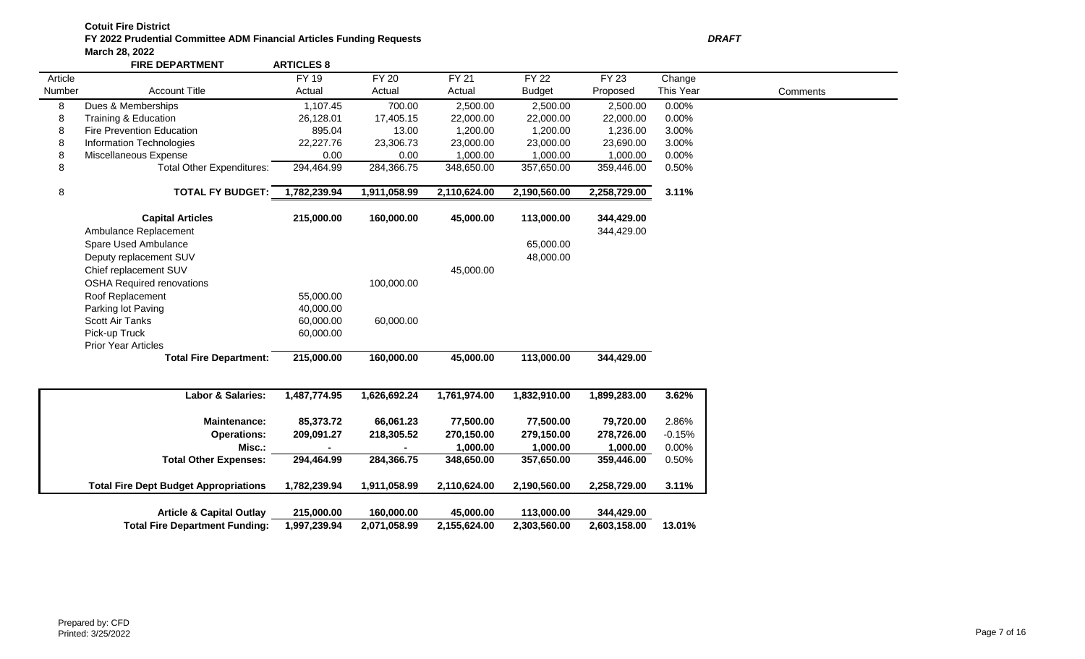**FIRE DEPARTMENT ARTICLES 8** Article Number Account Title FY 19 Actual FY 20 Actual FY 21 Actual FY 22 Budget FY 23 Proposed **Change** This Year Comments 8 Dues & Memberships 1,107.45 700.00 2,500.00 2,500.00 2,500.00 0.00% 8 Training & Education 26,128.01 17,405.15 22,000.00 22,000.00 22,000.00 0.00% 8 Fire Prevention Education 895.04 13.00 1,200.00 1,200.00 1,236.00 3.00% 8 Information Technologies 22,227.76 23,306.73 23,000.00 23,000.00 23,690.00 3.00% 8 Miscellaneous Expense 0.00 0.00 1,000.00 1,000.00 1,000.00 0.00% 8 Total Other Expenditures: 294,464.99 284,366.75 348,650.00 357,650.00 359,446.00 0.50% 8 **TOTAL FY BUDGET: 1,782,239.94 1,911,058.99 2,110,624.00 2,190,560.00 2,258,729.00 3.11% Capital Articles 215,000.00 160,000.00 45,000.00 113,000.00 344,429.00** Ambulance Replacement 344,429.00 Spare Used Ambulance 65,000.00 Deputy replacement SUV 48,000.00 Chief replacement SUV 45,000.00 OSHA Required renovations 100,000.00 Roof Replacement 65,000.00 Parking lot Paving and the contract of the 40,000.00 Scott Air Tanks 60,000.00 60,000.00 Pick-up Truck 60,000.00 Prior Year Articles **Total Fire Department: 215,000.00 160,000.00 45,000.00 113,000.00 344,429.00 Labor & Salaries: 1,487,774.95 1,626,692.24 1,761,974.00 1,832,910.00 1,899,283.00 3.62% Maintenance: 85,373.72 66,061.23 77,500.00 77,500.00 79,720.00** 2.86% **Operations: 209,091.27 218,305.52 270,150.00 279,150.00 278,726.00** -0.15% **Misc.: - - 1,000.00 1,000.00 1,000.00** 0.00% **Total Other Expenses: 294,464.99 284,366.75 348,650.00 357,650.00 359,446.00** 0.50%

| <b>Article &amp; Capital Outlay</b>   | 215.000.00   | 160.000.00   | 45.000.00    | 113.000.00   | 344.429.00   |        |
|---------------------------------------|--------------|--------------|--------------|--------------|--------------|--------|
| <b>Total Fire Department Funding:</b> | 1.997.239.94 | 2.071.058.99 | 2.155.624.00 | 2.303.560.00 | 2.603.158.00 | 13.01% |

**Total Fire Dept Budget Appropriations 1,782,239.94 1,911,058.99 2,110,624.00 2,190,560.00 2,258,729.00 3.11%**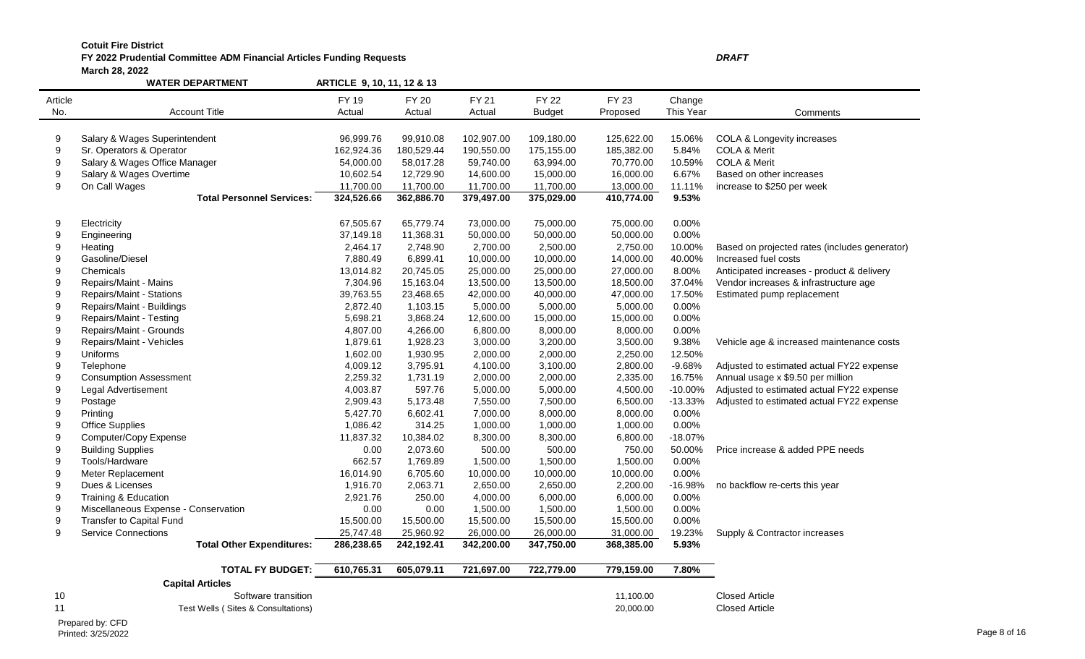## **FY 2022 Prudential Committee ADM Financial Articles Funding Requests** *DRAFT* **March 28, 2022**

|                  | <b>WATER DEPARTMENT</b>              | ARTICLE 9, 10, 11, 12 & 13 |              |              |               |              |           |                                               |
|------------------|--------------------------------------|----------------------------|--------------|--------------|---------------|--------------|-----------|-----------------------------------------------|
| Article          |                                      | FY 19                      | <b>FY 20</b> | <b>FY 21</b> | <b>FY 22</b>  | <b>FY 23</b> | Change    |                                               |
| No.              | <b>Account Title</b>                 | Actual                     | Actual       | Actual       | <b>Budget</b> | Proposed     | This Year | Comments                                      |
|                  |                                      |                            |              |              |               |              |           |                                               |
| 9                | Salary & Wages Superintendent        | 96,999.76                  | 99,910.08    | 102,907.00   | 109,180.00    | 125,622.00   | 15.06%    | COLA & Longevity increases                    |
| $\boldsymbol{9}$ | Sr. Operators & Operator             | 162,924.36                 | 180,529.44   | 190,550.00   | 175,155.00    | 185,382.00   | 5.84%     | <b>COLA &amp; Merit</b>                       |
| $\boldsymbol{9}$ | Salary & Wages Office Manager        | 54,000.00                  | 58,017.28    | 59,740.00    | 63,994.00     | 70,770.00    | 10.59%    | COLA & Merit                                  |
| 9                | Salary & Wages Overtime              | 10,602.54                  | 12,729.90    | 14,600.00    | 15,000.00     | 16,000.00    | 6.67%     | Based on other increases                      |
| 9                | On Call Wages                        | 11,700.00                  | 11,700.00    | 11,700.00    | 11,700.00     | 13,000.00    | 11.11%    | increase to \$250 per week                    |
|                  | <b>Total Personnel Services:</b>     | 324,526.66                 | 362,886.70   | 379,497.00   | 375,029.00    | 410,774.00   | 9.53%     |                                               |
|                  |                                      |                            |              |              |               |              |           |                                               |
| 9                | Electricity                          | 67,505.67                  | 65,779.74    | 73,000.00    | 75,000.00     | 75,000.00    | 0.00%     |                                               |
| $9\,$            | Engineering                          | 37,149.18                  | 11,368.31    | 50,000.00    | 50,000.00     | 50,000.00    | 0.00%     |                                               |
| 9                | Heating                              | 2,464.17                   | 2,748.90     | 2,700.00     | 2,500.00      | 2,750.00     | 10.00%    | Based on projected rates (includes generator) |
| 9                | Gasoline/Diesel                      | 7,880.49                   | 6,899.41     | 10,000.00    | 10,000.00     | 14,000.00    | 40.00%    | Increased fuel costs                          |
| $\boldsymbol{9}$ | Chemicals                            | 13,014.82                  | 20,745.05    | 25,000.00    | 25,000.00     | 27,000.00    | 8.00%     | Anticipated increases - product & delivery    |
| $\boldsymbol{9}$ | Repairs/Maint - Mains                | 7,304.96                   | 15,163.04    | 13,500.00    | 13,500.00     | 18,500.00    | 37.04%    | Vendor increases & infrastructure age         |
| 9                | Repairs/Maint - Stations             | 39,763.55                  | 23,468.65    | 42,000.00    | 40,000.00     | 47,000.00    | 17.50%    | Estimated pump replacement                    |
| 9                | Repairs/Maint - Buildings            | 2,872.40                   | 1,103.15     | 5,000.00     | 5,000.00      | 5,000.00     | 0.00%     |                                               |
| $\boldsymbol{9}$ | Repairs/Maint - Testing              | 5,698.21                   | 3,868.24     | 12,600.00    | 15,000.00     | 15,000.00    | 0.00%     |                                               |
| $\boldsymbol{9}$ | Repairs/Maint - Grounds              | 4,807.00                   | 4,266.00     | 6,800.00     | 8,000.00      | 8,000.00     | 0.00%     |                                               |
| 9                | Repairs/Maint - Vehicles             | 1,879.61                   | 1,928.23     | 3,000.00     | 3,200.00      | 3,500.00     | 9.38%     | Vehicle age & increased maintenance costs     |
| $9\,$            | Uniforms                             | 1,602.00                   | 1,930.95     | 2,000.00     | 2,000.00      | 2,250.00     | 12.50%    |                                               |
| $\boldsymbol{9}$ | Telephone                            | 4,009.12                   | 3,795.91     | 4,100.00     | 3,100.00      | 2,800.00     | $-9.68%$  | Adjusted to estimated actual FY22 expense     |
| $\boldsymbol{9}$ | <b>Consumption Assessment</b>        | 2,259.32                   | 1,731.19     | 2,000.00     | 2,000.00      | 2,335.00     | 16.75%    | Annual usage x \$9.50 per million             |
| 9                | Legal Advertisement                  | 4,003.87                   | 597.76       | 5,000.00     | 5,000.00      | 4,500.00     | $-10.00%$ | Adjusted to estimated actual FY22 expense     |
| $\boldsymbol{9}$ | Postage                              | 2,909.43                   | 5,173.48     | 7,550.00     | 7,500.00      | 6,500.00     | $-13.33%$ | Adjusted to estimated actual FY22 expense     |
| $\boldsymbol{9}$ | Printing                             | 5,427.70                   | 6,602.41     | 7,000.00     | 8,000.00      | 8,000.00     | 0.00%     |                                               |
| 9                | <b>Office Supplies</b>               | 1,086.42                   | 314.25       | 1,000.00     | 1,000.00      | 1,000.00     | 0.00%     |                                               |
| $\boldsymbol{9}$ | Computer/Copy Expense                | 11,837.32                  | 10,384.02    | 8,300.00     | 8,300.00      | 6,800.00     | $-18.07%$ |                                               |
| $\boldsymbol{9}$ | <b>Building Supplies</b>             | 0.00                       | 2,073.60     | 500.00       | 500.00        | 750.00       | 50.00%    | Price increase & added PPE needs              |
| 9                | Tools/Hardware                       | 662.57                     | 1,769.89     | 1,500.00     | 1,500.00      | 1,500.00     | 0.00%     |                                               |
| $\boldsymbol{9}$ | Meter Replacement                    | 16,014.90                  | 6,705.60     | 10,000.00    | 10,000.00     | 10,000.00    | 0.00%     |                                               |
| $\boldsymbol{9}$ | Dues & Licenses                      | 1,916.70                   | 2,063.71     | 2,650.00     | 2,650.00      | 2,200.00     | $-16.98%$ | no backflow re-certs this year                |
| $\boldsymbol{9}$ | Training & Education                 | 2,921.76                   | 250.00       | 4,000.00     | 6,000.00      | 6,000.00     | 0.00%     |                                               |
| $\boldsymbol{9}$ | Miscellaneous Expense - Conservation | 0.00                       | 0.00         | 1,500.00     | 1,500.00      | 1,500.00     | 0.00%     |                                               |
| $9\,$            | <b>Transfer to Capital Fund</b>      | 15,500.00                  | 15,500.00    | 15,500.00    | 15,500.00     | 15,500.00    | 0.00%     |                                               |
| $9\,$            | <b>Service Connections</b>           | 25,747.48                  | 25,960.92    | 26,000.00    | 26,000.00     | 31,000.00    | 19.23%    | Supply & Contractor increases                 |
|                  | <b>Total Other Expenditures:</b>     | 286,238.65                 | 242,192.41   | 342,200.00   | 347,750.00    | 368,385.00   | 5.93%     |                                               |
|                  |                                      |                            |              |              |               |              |           |                                               |
|                  | <b>TOTAL FY BUDGET:</b>              | 610,765.31                 | 605,079.11   | 721,697.00   | 722,779.00    | 779,159.00   | 7.80%     |                                               |
|                  | <b>Capital Articles</b>              |                            |              |              |               |              |           |                                               |
| 10               | Software transition                  |                            |              |              |               | 11,100.00    |           | <b>Closed Article</b>                         |
| 11               | Test Wells (Sites & Consultations)   |                            |              |              |               | 20,000.00    |           | <b>Closed Article</b>                         |

Prepared by: CFD<br>Printed: 3/25/2022 Printed: 3/25/2022 Page 8 of 16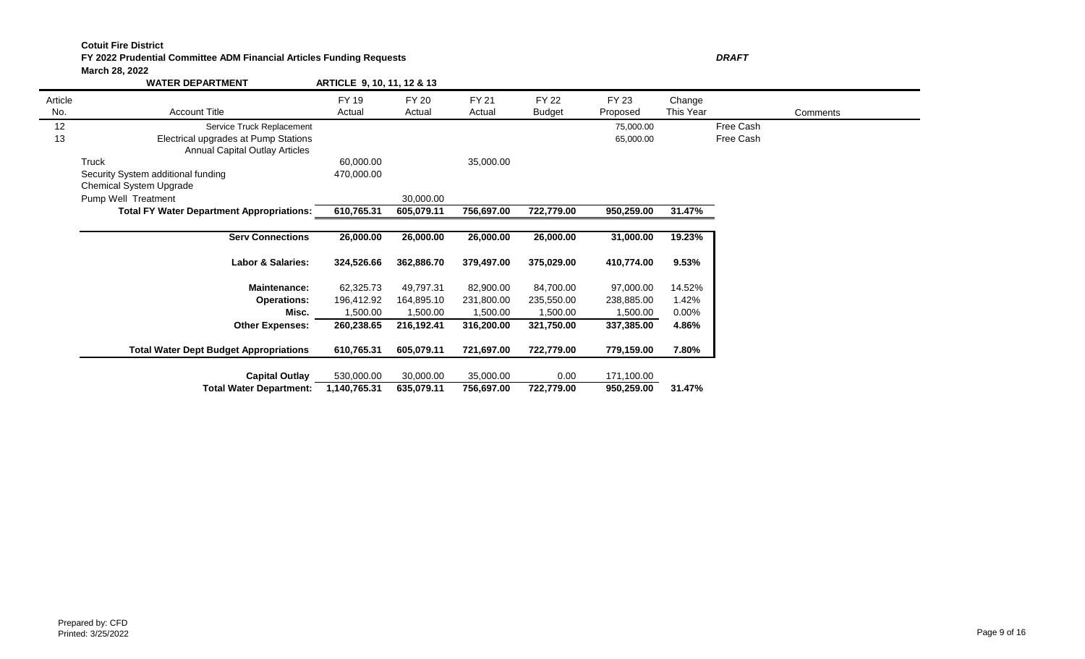### **FY 2022 Prudential Committee ADM Financial Articles Funding Requests** *DRAFT* **March 28, 2022**

|         | <b>WATER DEPARTMENT</b>                          | ARTICLE 9, 10, 11, 12 & 13 |            |            |               |            |           |           |          |
|---------|--------------------------------------------------|----------------------------|------------|------------|---------------|------------|-----------|-----------|----------|
| Article |                                                  | <b>FY 19</b>               | FY 20      | FY 21      | FY 22         | FY 23      | Change    |           |          |
| No.     | <b>Account Title</b>                             | Actual                     | Actual     | Actual     | <b>Budget</b> | Proposed   | This Year |           | Comments |
| 12      | Service Truck Replacement                        |                            |            |            |               | 75,000.00  |           | Free Cash |          |
| 13      | Electrical upgrades at Pump Stations             |                            |            |            |               | 65,000.00  |           | Free Cash |          |
|         | <b>Annual Capital Outlay Articles</b>            |                            |            |            |               |            |           |           |          |
|         | Truck                                            | 60,000.00                  |            | 35,000.00  |               |            |           |           |          |
|         | Security System additional funding               | 470,000.00                 |            |            |               |            |           |           |          |
|         | Chemical System Upgrade                          |                            |            |            |               |            |           |           |          |
|         | Pump Well Treatment                              |                            | 30,000.00  |            |               |            |           |           |          |
|         | <b>Total FY Water Department Appropriations:</b> | 610,765.31                 | 605,079.11 | 756,697.00 | 722,779.00    | 950,259.00 | 31.47%    |           |          |
|         |                                                  |                            |            |            |               |            |           |           |          |
|         | <b>Serv Connections</b>                          | 26,000.00                  | 26,000.00  | 26,000.00  | 26,000.00     | 31,000.00  | 19.23%    |           |          |
|         | <b>Labor &amp; Salaries:</b>                     | 324,526.66                 | 362,886.70 | 379,497.00 | 375,029.00    | 410,774.00 | 9.53%     |           |          |
|         | <b>Maintenance:</b>                              | 62,325.73                  | 49,797.31  | 82,900,00  | 84,700.00     | 97,000.00  | 14.52%    |           |          |
|         | <b>Operations:</b>                               | 196,412.92                 | 164,895.10 | 231,800.00 | 235,550.00    | 238,885.00 | 1.42%     |           |          |
|         | Misc.                                            | 1,500.00                   | 1,500.00   | 1,500.00   | 1,500.00      | 1,500.00   | $0.00\%$  |           |          |
|         | <b>Other Expenses:</b>                           | 260,238.65                 | 216,192.41 | 316,200.00 | 321,750.00    | 337,385.00 | 4.86%     |           |          |
|         | <b>Total Water Dept Budget Appropriations</b>    | 610,765.31                 | 605,079.11 | 721,697.00 | 722,779.00    | 779,159.00 | 7.80%     |           |          |
|         | <b>Capital Outlay</b>                            | 530,000.00                 | 30,000.00  | 35,000.00  | 0.00          | 171,100.00 |           |           |          |
|         | <b>Total Water Department:</b>                   | 1,140,765.31               | 635,079.11 | 756,697.00 | 722,779.00    | 950,259.00 | 31.47%    |           |          |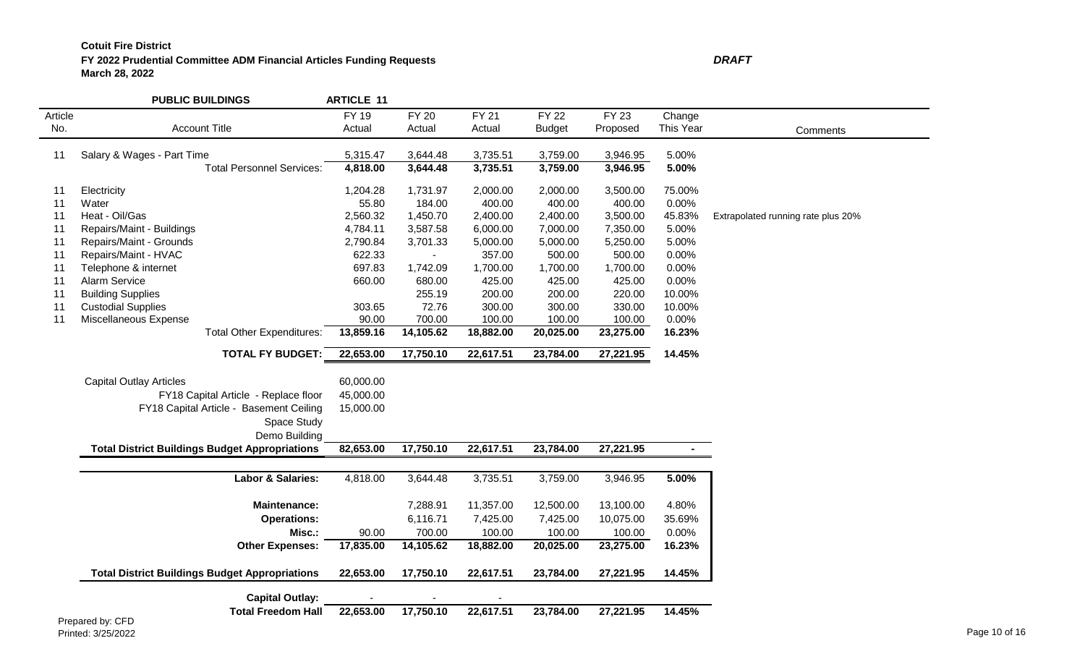## **FY 2022 Prudential Committee ADM Financial Articles Funding Requests** *D* **March 28, 2022**

| ı<br>٠ | ш |
|--------|---|
|        |   |
|        |   |

|         | <b>PUBLIC BUILDINGS</b>                               | <b>ARTICLE 11</b> |              |              |               |              |           |                                    |
|---------|-------------------------------------------------------|-------------------|--------------|--------------|---------------|--------------|-----------|------------------------------------|
| Article |                                                       | <b>FY 19</b>      | <b>FY 20</b> | <b>FY 21</b> | FY 22         | <b>FY 23</b> | Change    |                                    |
| No.     | <b>Account Title</b>                                  | Actual            | Actual       | Actual       | <b>Budget</b> | Proposed     | This Year | Comments                           |
| 11      | Salary & Wages - Part Time                            | 5,315.47          | 3,644.48     | 3,735.51     | 3,759.00      | 3,946.95     | 5.00%     |                                    |
|         | <b>Total Personnel Services:</b>                      | 4,818.00          | 3,644.48     | 3,735.51     | 3,759.00      | 3,946.95     | 5.00%     |                                    |
|         |                                                       |                   |              |              |               |              |           |                                    |
| 11      | Electricity                                           | 1,204.28          | 1,731.97     | 2,000.00     | 2,000.00      | 3,500.00     | 75.00%    |                                    |
| 11      | Water                                                 | 55.80             | 184.00       | 400.00       | 400.00        | 400.00       | 0.00%     |                                    |
| 11      | Heat - Oil/Gas                                        | 2,560.32          | 1,450.70     | 2,400.00     | 2,400.00      | 3,500.00     | 45.83%    | Extrapolated running rate plus 20% |
| 11      | Repairs/Maint - Buildings                             | 4,784.11          | 3,587.58     | 6,000.00     | 7,000.00      | 7,350.00     | 5.00%     |                                    |
| 11      | Repairs/Maint - Grounds                               | 2,790.84          | 3,701.33     | 5,000.00     | 5,000.00      | 5,250.00     | 5.00%     |                                    |
| 11      | Repairs/Maint - HVAC                                  | 622.33            |              | 357.00       | 500.00        | 500.00       | 0.00%     |                                    |
| 11      | Telephone & internet                                  | 697.83            | 1,742.09     | 1,700.00     | 1,700.00      | 1,700.00     | 0.00%     |                                    |
| 11      | Alarm Service                                         | 660.00            | 680.00       | 425.00       | 425.00        | 425.00       | 0.00%     |                                    |
| 11      | <b>Building Supplies</b>                              |                   | 255.19       | 200.00       | 200.00        | 220.00       | 10.00%    |                                    |
| 11      | <b>Custodial Supplies</b>                             | 303.65            | 72.76        | 300.00       | 300.00        | 330.00       | 10.00%    |                                    |
| 11      | Miscellaneous Expense                                 | 90.00             | 700.00       | 100.00       | 100.00        | 100.00       | 0.00%     |                                    |
|         | <b>Total Other Expenditures:</b>                      | 13,859.16         | 14,105.62    | 18,882.00    | 20,025.00     | 23,275.00    | 16.23%    |                                    |
|         | <b>TOTAL FY BUDGET:</b>                               | 22,653.00         | 17,750.10    | 22,617.51    | 23,784.00     | 27,221.95    | 14.45%    |                                    |
|         |                                                       |                   |              |              |               |              |           |                                    |
|         | <b>Capital Outlay Articles</b>                        | 60,000.00         |              |              |               |              |           |                                    |
|         | FY18 Capital Article - Replace floor                  | 45,000.00         |              |              |               |              |           |                                    |
|         | FY18 Capital Article - Basement Ceiling               | 15,000.00         |              |              |               |              |           |                                    |
|         | Space Study                                           |                   |              |              |               |              |           |                                    |
|         | Demo Building                                         |                   |              |              |               |              |           |                                    |
|         | <b>Total District Buildings Budget Appropriations</b> | 82,653.00         | 17,750.10    | 22,617.51    | 23,784.00     | 27,221.95    | $\sim$    |                                    |
|         | Labor & Salaries:                                     | 4,818.00          | 3,644.48     | 3,735.51     | 3,759.00      | 3,946.95     | 5.00%     |                                    |
|         | <b>Maintenance:</b>                                   |                   | 7,288.91     | 11,357.00    | 12,500.00     | 13,100.00    | 4.80%     |                                    |
|         | <b>Operations:</b>                                    |                   | 6,116.71     | 7,425.00     | 7,425.00      | 10,075.00    | 35.69%    |                                    |
|         |                                                       |                   | 700.00       | 100.00       | 100.00        | 100.00       | 0.00%     |                                    |
|         | Misc.:                                                | 90.00             |              |              |               |              |           |                                    |
|         | <b>Other Expenses:</b>                                | 17,835.00         | 14,105.62    | 18,882.00    | 20,025.00     | 23,275.00    | 16.23%    |                                    |
|         | <b>Total District Buildings Budget Appropriations</b> | 22,653.00         | 17,750.10    | 22,617.51    | 23,784.00     | 27,221.95    | 14.45%    |                                    |
|         | <b>Capital Outlay:</b>                                |                   |              |              |               |              |           |                                    |
|         | <b>Total Freedom Hall</b>                             | 22,653.00         | 17,750.10    | 22,617.51    | 23,784.00     | 27,221.95    | 14.45%    |                                    |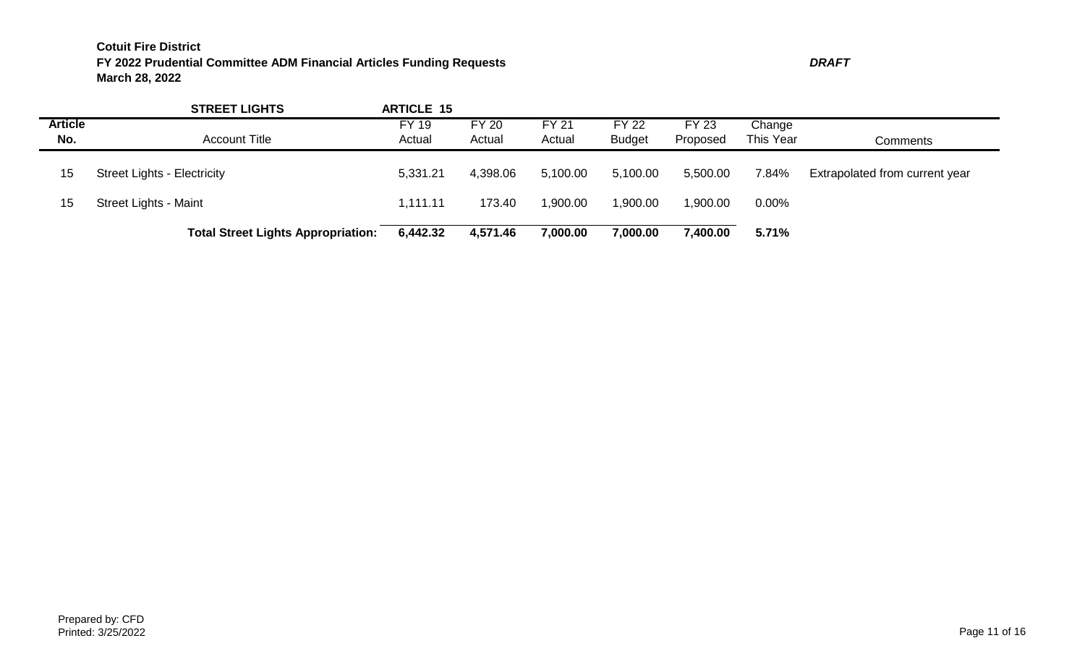|                       | <b>STREET LIGHTS</b>                      | <b>ARTICLE 15</b>      |                        |                        |                               |                          |                     |                                |
|-----------------------|-------------------------------------------|------------------------|------------------------|------------------------|-------------------------------|--------------------------|---------------------|--------------------------------|
| <b>Article</b><br>No. | <b>Account Title</b>                      | <b>FY 19</b><br>Actual | <b>FY 20</b><br>Actual | <b>FY 21</b><br>Actual | <b>FY 22</b><br><b>Budget</b> | <b>FY 23</b><br>Proposed | Change<br>This Year | Comments                       |
| 15                    | <b>Street Lights - Electricity</b>        | 5,331.21               | 4,398.06               | 5,100.00               | 5,100.00                      | 5,500.00                 | 7.84%               | Extrapolated from current year |
| 15                    | Street Lights - Maint                     | 1,111.11               | 173.40                 | 1,900.00               | 1,900.00                      | 00.00, ا                 | $0.00\%$            |                                |
|                       | <b>Total Street Lights Appropriation:</b> | 6,442.32               | 4,571.46               | 7,000.00               | ,000.00                       | 7,400.00                 | 5.71%               |                                |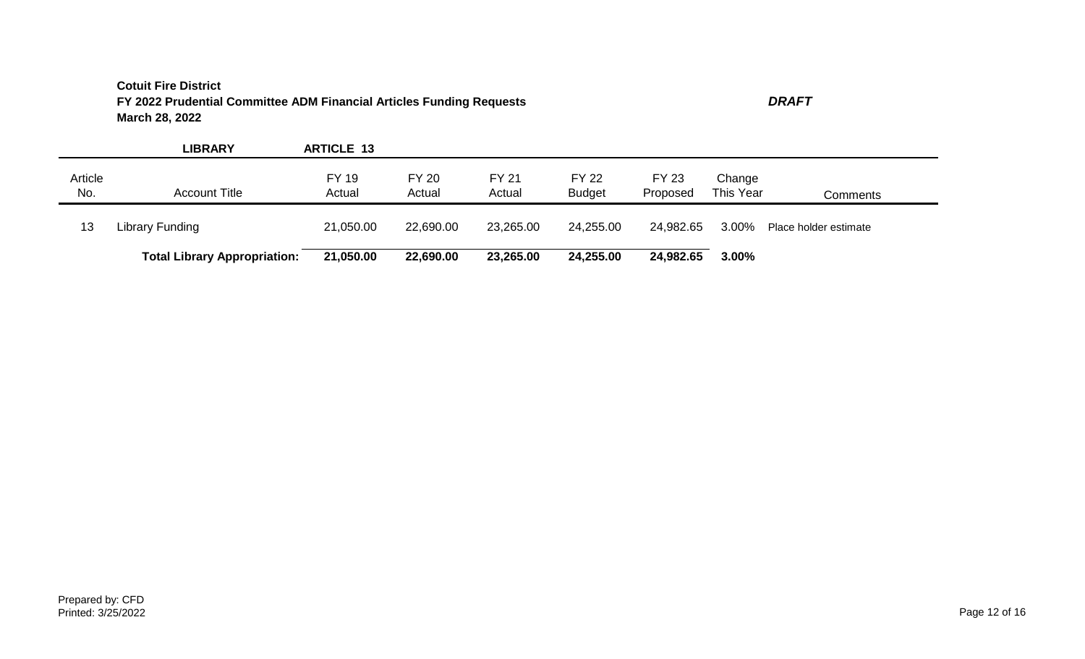**LIBRARY ARTICLE 13** Article No. Account Title FY 19 Actual FY 20 Actual FY 21 Actual FY 22 Budget FY 23 Proposed Change This Year Comments 13 Library Funding 21,050.00 22,690.00 23,265.00 24,255.00 24,982.65 3.00% Place holder estimate **Total Library Appropriation: 21,050.00 22,690.00 23,265.00 24,255.00 24,982.65 3.00%**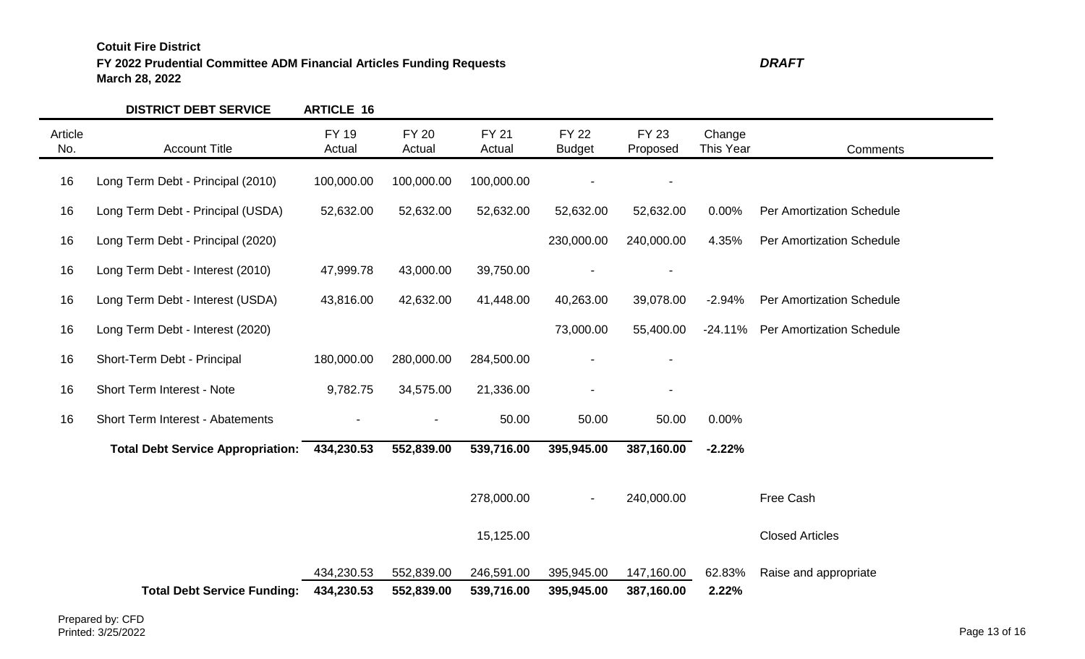**FY 2022 Prudential Committee ADM Financial Articles Funding Requests** *DRAFT* **March 28, 2022**

|                | <b>DISTRICT DEBT SERVICE</b>             | <b>ARTICLE 16</b>        |                          |                          |                               |                          |                     |                                  |
|----------------|------------------------------------------|--------------------------|--------------------------|--------------------------|-------------------------------|--------------------------|---------------------|----------------------------------|
| Article<br>No. | <b>Account Title</b>                     | <b>FY 19</b><br>Actual   | <b>FY 20</b><br>Actual   | <b>FY 21</b><br>Actual   | <b>FY 22</b><br><b>Budget</b> | <b>FY 23</b><br>Proposed | Change<br>This Year | Comments                         |
| 16             | Long Term Debt - Principal (2010)        | 100,000.00               | 100,000.00               | 100,000.00               |                               |                          |                     |                                  |
| 16             | Long Term Debt - Principal (USDA)        | 52,632.00                | 52,632.00                | 52,632.00                | 52,632.00                     | 52,632.00                | 0.00%               | <b>Per Amortization Schedule</b> |
| 16             | Long Term Debt - Principal (2020)        |                          |                          |                          | 230,000.00                    | 240,000.00               | 4.35%               | <b>Per Amortization Schedule</b> |
| 16             | Long Term Debt - Interest (2010)         | 47,999.78                | 43,000.00                | 39,750.00                |                               |                          |                     |                                  |
| 16             | Long Term Debt - Interest (USDA)         | 43,816.00                | 42,632.00                | 41,448.00                | 40,263.00                     | 39,078.00                | $-2.94%$            | <b>Per Amortization Schedule</b> |
| 16             | Long Term Debt - Interest (2020)         |                          |                          |                          | 73,000.00                     | 55,400.00                | $-24.11%$           | Per Amortization Schedule        |
| 16             | Short-Term Debt - Principal              | 180,000.00               | 280,000.00               | 284,500.00               |                               |                          |                     |                                  |
| 16             | Short Term Interest - Note               | 9,782.75                 | 34,575.00                | 21,336.00                |                               |                          |                     |                                  |
| 16             | Short Term Interest - Abatements         |                          |                          | 50.00                    | 50.00                         | 50.00                    | 0.00%               |                                  |
|                | <b>Total Debt Service Appropriation:</b> | 434,230.53               | 552,839.00               | 539,716.00               | 395,945.00                    | 387,160.00               | $-2.22%$            |                                  |
|                |                                          |                          |                          | 278,000.00               | $\sim$                        | 240,000.00               |                     | Free Cash                        |
|                |                                          |                          |                          | 15,125.00                |                               |                          |                     | <b>Closed Articles</b>           |
|                | <b>Total Debt Service Funding:</b>       | 434,230.53<br>434,230.53 | 552,839.00<br>552,839.00 | 246,591.00<br>539,716.00 | 395,945.00<br>395,945.00      | 147,160.00<br>387,160.00 | 62.83%<br>2.22%     | Raise and appropriate            |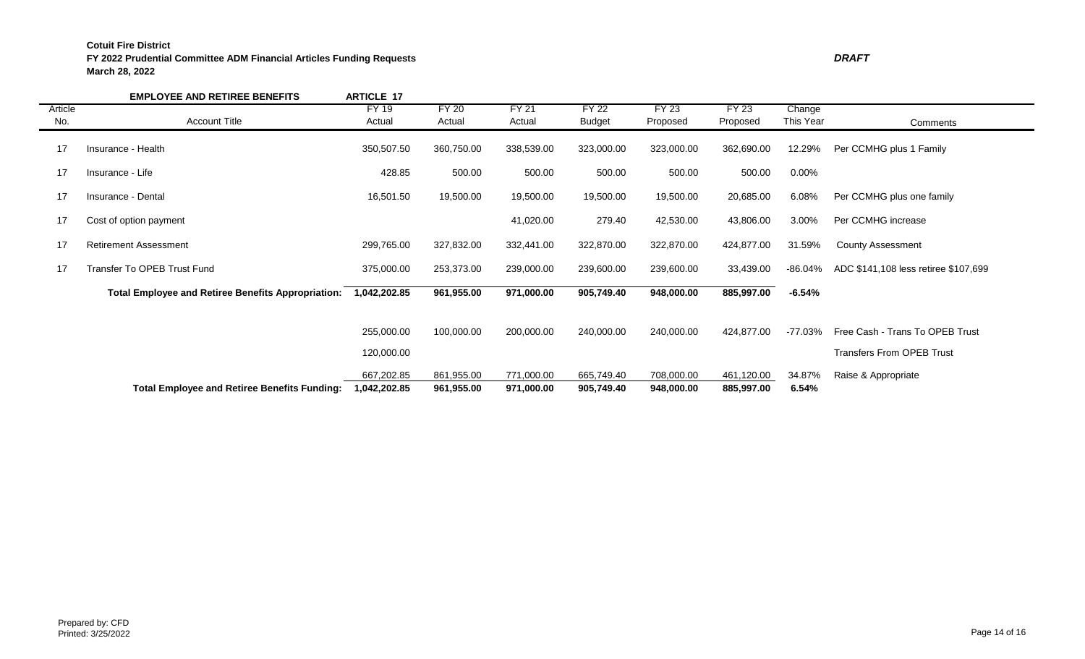## **FY 2022 Prudential Committee ADM Financial Articles Funding Requests** *DRAFT* **March 28, 2022**

|         | <b>EMPLOYEE AND RETIREE BENEFITS</b>                      | <b>ARTICLE 17</b>          |                          |                          |                          |                          |                          |                 |                                                                     |
|---------|-----------------------------------------------------------|----------------------------|--------------------------|--------------------------|--------------------------|--------------------------|--------------------------|-----------------|---------------------------------------------------------------------|
| Article |                                                           | FY 19                      | <b>FY 20</b>             | <b>FY 21</b>             | <b>FY 22</b>             | <b>FY 23</b>             | FY23                     | Change          |                                                                     |
| No.     | <b>Account Title</b>                                      | Actual                     | Actual                   | Actual                   | <b>Budget</b>            | Proposed                 | Proposed                 | This Year       | Comments                                                            |
| 17      | Insurance - Health                                        | 350,507.50                 | 360,750.00               | 338,539.00               | 323,000.00               | 323,000.00               | 362,690.00               | 12.29%          | Per CCMHG plus 1 Family                                             |
| 17      | Insurance - Life                                          | 428.85                     | 500.00                   | 500.00                   | 500.00                   | 500.00                   | 500.00                   | $0.00\%$        |                                                                     |
| 17      | Insurance - Dental                                        | 16,501.50                  | 19,500.00                | 19,500.00                | 19,500.00                | 19,500.00                | 20,685.00                | 6.08%           | Per CCMHG plus one family                                           |
| 17      | Cost of option payment                                    |                            |                          | 41,020.00                | 279.40                   | 42,530.00                | 43,806.00                | 3.00%           | Per CCMHG increase                                                  |
| 17      | <b>Retirement Assessment</b>                              | 299,765.00                 | 327,832.00               | 332,441.00               | 322,870.00               | 322,870.00               | 424,877.00               | 31.59%          | <b>County Assessment</b>                                            |
| 17      | Transfer To OPEB Trust Fund                               | 375,000.00                 | 253,373.00               | 239,000.00               | 239,600.00               | 239,600.00               | 33,439.00                | -86.04%         | ADC \$141,108 less retiree \$107,699                                |
|         | <b>Total Employee and Retiree Benefits Appropriation:</b> | 1,042,202.85               | 961,955.00               | 971,000.00               | 905,749.40               | 948,000.00               | 885,997.00               | -6.54%          |                                                                     |
|         |                                                           | 255,000.00<br>120,000.00   | 100,000.00               | 200,000.00               | 240,000.00               | 240,000.00               | 424,877.00               | -77.03%         | Free Cash - Trans To OPEB Trust<br><b>Transfers From OPEB Trust</b> |
|         | <b>Total Employee and Retiree Benefits Funding:</b>       | 667,202.85<br>1,042,202.85 | 861,955.00<br>961,955.00 | 771,000.00<br>971,000.00 | 665,749.40<br>905,749.40 | 708,000.00<br>948,000.00 | 461,120.00<br>885,997.00 | 34.87%<br>6.54% | Raise & Appropriate                                                 |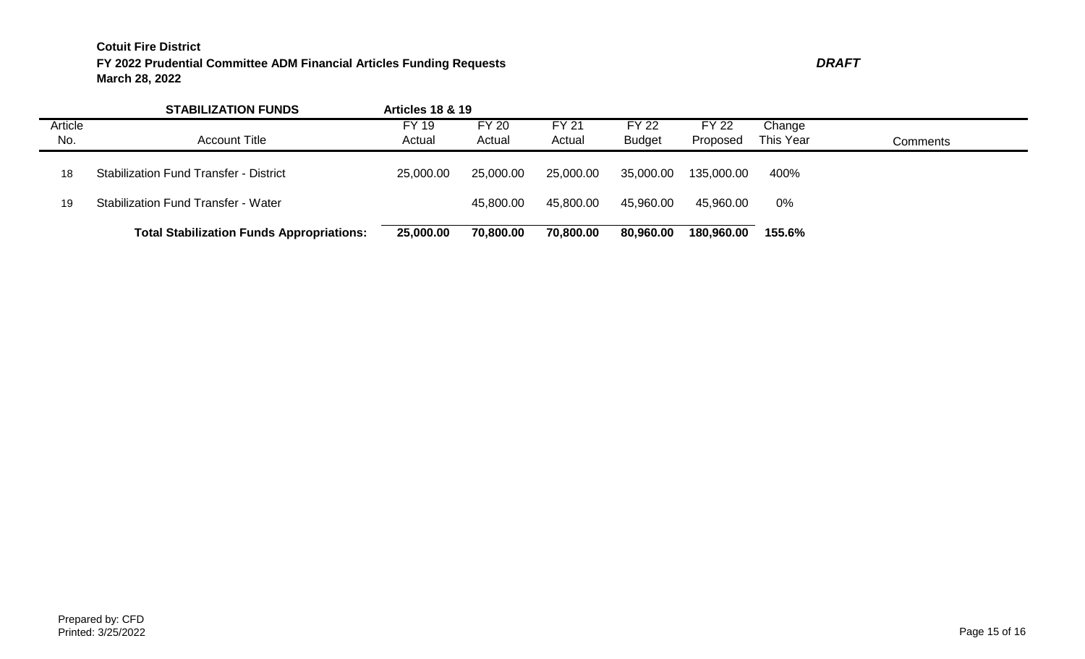|                | <b>STABILIZATION FUNDS</b>                       | <b>Articles 18 &amp; 19</b> |                        |                        |                               |                          |                     |          |
|----------------|--------------------------------------------------|-----------------------------|------------------------|------------------------|-------------------------------|--------------------------|---------------------|----------|
| Article<br>No. | <b>Account Title</b>                             | FY 19<br>Actual             | <b>FY 20</b><br>Actual | <b>FY 21</b><br>Actual | <b>FY 22</b><br><b>Budget</b> | <b>FY 22</b><br>Proposed | Change<br>This Year | Comments |
| 18             | <b>Stabilization Fund Transfer - District</b>    | 25,000.00                   | 25,000.00              | 25,000.00              | 35,000.00                     | 135,000.00               | 400%                |          |
| 19             | <b>Stabilization Fund Transfer - Water</b>       |                             | 45,800.00              | 45,800.00              | 45,960.00                     | 45,960.00                | 0%                  |          |
|                | <b>Total Stabilization Funds Appropriations:</b> | 25,000.00                   | 70,800.00              | 70,800.00              | 80,960.00                     | 180,960.00               | 155.6%              |          |